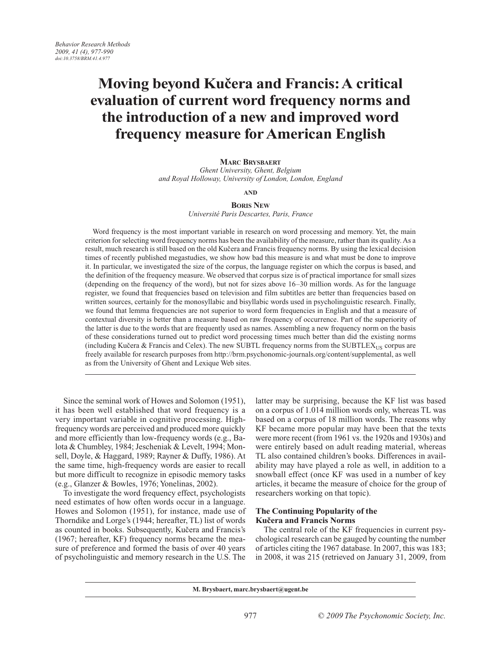# **Moving beyond Kučera and Francis: A critical evaluation of current word frequency norms and the introduction of a new and improved word frequency measure for American English**

**Marc Brysbaert**

*Ghent University, Ghent, Belgium and Royal Holloway, University of London, London, England*

**and**

## **Boris New** *Université Paris Descartes, Paris, France*

Word frequency is the most important variable in research on word processing and memory. Yet, the main criterion for selecting word frequency norms has been the availability of the measure, rather than its quality. As a result, much research is still based on the old Kučera and Francis frequency norms. By using the lexical decision times of recently published megastudies, we show how bad this measure is and what must be done to improve it. In particular, we investigated the size of the corpus, the language register on which the corpus is based, and the definition of the frequency measure. We observed that corpus size is of practical importance for small sizes (depending on the frequency of the word), but not for sizes above 16–30 million words. As for the language register, we found that frequencies based on television and film subtitles are better than frequencies based on written sources, certainly for the monosyllabic and bisyllabic words used in psycholinguistic research. Finally, we found that lemma frequencies are not superior to word form frequencies in English and that a measure of contextual diversity is better than a measure based on raw frequency of occurrence. Part of the superiority of the latter is due to the words that are frequently used as names. Assembling a new frequency norm on the basis of these considerations turned out to predict word processing times much better than did the existing norms (including Kučera  $&$  Francis and Celex). The new SUBTL frequency norms from the SUBTLEX<sub>US</sub> corpus are freely available for research purposes from http://brm.psychonomic-journals.org/content/supplemental, as well as from the University of Ghent and Lexique Web sites.

Since the seminal work of Howes and Solomon (1951), it has been well established that word frequency is a very important variable in cognitive processing. Highfrequency words are perceived and produced more quickly and more efficiently than low-frequency words (e.g., Balota & Chumbley, 1984; Jescheniak & Levelt, 1994; Monsell, Doyle, & Haggard, 1989; Rayner & Duffy, 1986). At the same time, high-frequency words are easier to recall but more difficult to recognize in episodic memory tasks (e.g., Glanzer & Bowles, 1976; Yonelinas, 2002).

To investigate the word frequency effect, psychologists need estimates of how often words occur in a language. Howes and Solomon (1951), for instance, made use of Thorndike and Lorge's (1944; hereafter, TL) list of words as counted in books. Subsequently, Kučera and Francis's (1967; hereafter, KF) frequency norms became the measure of preference and formed the basis of over 40 years of psycholinguistic and memory research in the U.S. The

latter may be surprising, because the KF list was based on a corpus of 1.014 million words only, whereas TL was based on a corpus of 18 million words. The reasons why KF became more popular may have been that the texts were more recent (from 1961 vs. the 1920s and 1930s) and were entirely based on adult reading material, whereas TL also contained children's books. Differences in availability may have played a role as well, in addition to a snowball effect (once KF was used in a number of key articles, it became the measure of choice for the group of researchers working on that topic).

# **The Continuing Popularity of the Kučera and Francis Norms**

The central role of the KF frequencies in current psychological research can be gauged by counting the number of articles citing the 1967 database. In 2007, this was 183; in 2008, it was 215 (retrieved on January 31, 2009, from

**M. Brysbaert, marc.brysbaert@ugent.be**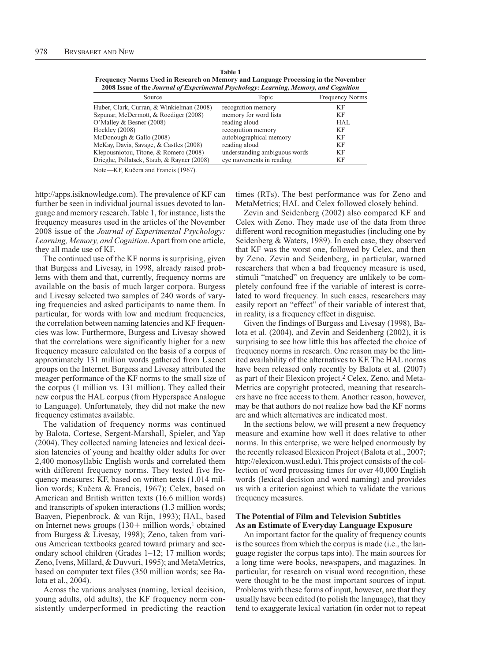| Frequency Norms Used in Research on Memory and Language Processing in the November |                                                                                       |
|------------------------------------------------------------------------------------|---------------------------------------------------------------------------------------|
| Topic                                                                              | <b>Frequency Norms</b>                                                                |
| recognition memory                                                                 | KF                                                                                    |
| memory for word lists                                                              | KF                                                                                    |
| reading aloud                                                                      | HAL                                                                                   |
| recognition memory                                                                 | KF                                                                                    |
| autobiographical memory                                                            | KF                                                                                    |
| reading aloud                                                                      | KF                                                                                    |
| understanding ambiguous words                                                      | KF                                                                                    |
| eye movements in reading                                                           | KF                                                                                    |
|                                                                                    | 2008 Issue of the Journal of Experimental Psychology: Learning, Memory, and Cognition |

**Table 1 Frequency Norms Used in Research on Memory and Language Processing in the November** 

Note—KF, Kučera and Francis (1967).

http://apps.isiknowledge.com). The prevalence of KF can further be seen in individual journal issues devoted to language and memory research. Table 1, for instance, lists the frequency measures used in the articles of the November 2008 issue of the *Journal of Experimental Psychology: Learning, Memory, and Cognition*. Apart from one article, they all made use of KF.

The continued use of the KF norms is surprising, given that Burgess and Livesay, in 1998, already raised problems with them and that, currently, frequency norms are available on the basis of much larger corpora. Burgess and Livesay selected two samples of 240 words of varying frequencies and asked participants to name them. In particular, for words with low and medium frequencies, the correlation between naming latencies and KF frequencies was low. Furthermore, Burgess and Livesay showed that the correlations were significantly higher for a new frequency measure calculated on the basis of a corpus of approximately 131 million words gathered from Usenet groups on the Internet. Burgess and Livesay attributed the meager performance of the KF norms to the small size of the corpus (1 million vs. 131 million). They called their new corpus the HAL corpus (from Hyperspace Analogue to Language). Unfortunately, they did not make the new frequency estimates available.

The validation of frequency norms was continued by Balota, Cortese, Sergent-Marshall, Spieler, and Yap (2004). They collected naming latencies and lexical decision latencies of young and healthy older adults for over 2,400 monosyllabic English words and correlated them with different frequency norms. They tested five frequency measures: KF, based on written texts (1.014 million words; Kučera & Francis, 1967); Celex, based on American and British written texts (16.6 million words) and transcripts of spoken interactions (1.3 million words; Baayen, Piepenbrock, & van Rijn, 1993); HAL, based on Internet news groups  $(130 + \text{million words}, 1)$  obtained from Burgess & Livesay, 1998); Zeno, taken from various American textbooks geared toward primary and secondary school children (Grades 1–12; 17 million words; Zeno, Ivens, Millard, & Duvvuri, 1995); and MetaMetrics, based on computer text files (350 million words; see Balota et al., 2004).

Across the various analyses (naming, lexical decision, young adults, old adults), the KF frequency norm consistently underperformed in predicting the reaction times (RTs). The best performance was for Zeno and MetaMetrics; HAL and Celex followed closely behind.

Zevin and Seidenberg (2002) also compared KF and Celex with Zeno. They made use of the data from three different word recognition megastudies (including one by Seidenberg & Waters, 1989). In each case, they observed that KF was the worst one, followed by Celex, and then by Zeno. Zevin and Seidenberg, in particular, warned researchers that when a bad frequency measure is used, stimuli "matched" on frequency are unlikely to be completely confound free if the variable of interest is correlated to word frequency. In such cases, researchers may easily report an "effect" of their variable of interest that, in reality, is a frequency effect in disguise.

Given the findings of Burgess and Livesay (1998), Balota et al. (2004), and Zevin and Seidenberg (2002), it is surprising to see how little this has affected the choice of frequency norms in research. One reason may be the limited availability of the alternatives to KF. The HAL norms have been released only recently by Balota et al. (2007) as part of their Elexicon project.2 Celex, Zeno, and Meta-Metrics are copyright protected, meaning that researchers have no free access to them. Another reason, however, may be that authors do not realize how bad the KF norms are and which alternatives are indicated most.

In the sections below, we will present a new frequency measure and examine how well it does relative to other norms. In this enterprise, we were helped enormously by the recently released Elexicon Project (Balota et al., 2007; http://elexicon.wustl.edu). This project consists of the collection of word processing times for over 40,000 English words (lexical decision and word naming) and provides us with a criterion against which to validate the various frequency measures.

# **The Potential of Film and Television Subtitles As an Estimate of Everyday Language Exposure**

An important factor for the quality of frequency counts is the sources from which the corpus is made (i.e., the language register the corpus taps into). The main sources for a long time were books, newspapers, and magazines. In particular, for research on visual word recognition, these were thought to be the most important sources of input. Problems with these forms of input, however, are that they usually have been edited (to polish the language), that they tend to exaggerate lexical variation (in order not to repeat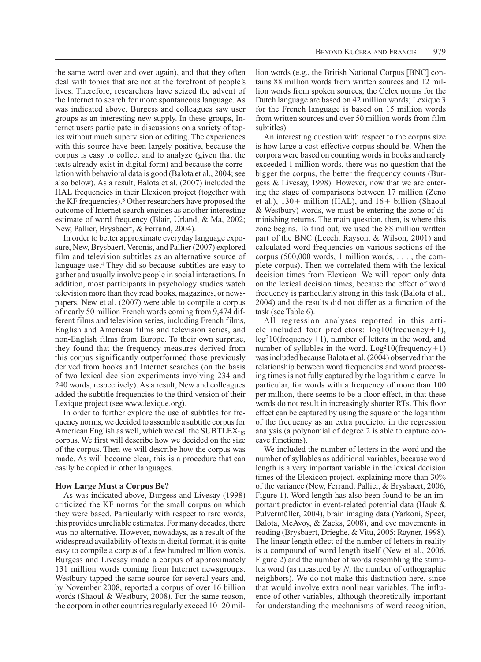the same word over and over again), and that they often deal with topics that are not at the forefront of people's lives. Therefore, researchers have seized the advent of the Internet to search for more spontaneous language. As was indicated above, Burgess and colleagues saw user groups as an interesting new supply. In these groups, Internet users participate in discussions on a variety of topics without much supervision or editing. The experiences with this source have been largely positive, because the corpus is easy to collect and to analyze (given that the texts already exist in digital form) and because the correlation with behavioral data is good (Balota et al., 2004; see also below). As a result, Balota et al. (2007) included the HAL frequencies in their Elexicon project (together with the KF frequencies).3 Other researchers have proposed the outcome of Internet search engines as another interesting estimate of word frequency (Blair, Urland, & Ma, 2002; New, Pallier, Brysbaert, & Ferrand, 2004).

In order to better approximate everyday language exposure, New, Brysbaert, Veronis, and Pallier (2007) explored film and television subtitles as an alternative source of language use.4 They did so because subtitles are easy to gather and usually involve people in social interactions. In addition, most participants in psychology studies watch television more than they read books, magazines, or newspapers. New et al. (2007) were able to compile a corpus of nearly 50 million French words coming from 9,474 different films and television series, including French films, English and American films and television series, and non-English films from Europe. To their own surprise, they found that the frequency measures derived from this corpus significantly outperformed those previously derived from books and Internet searches (on the basis of two lexical decision experiments involving 234 and 240 words, respectively). As a result, New and colleagues added the subtitle frequencies to the third version of their Lexique project (see www.lexique.org).

In order to further explore the use of subtitles for frequency norms, we decided to assemble a subtitle corpus for American English as well, which we call the  $\text{SUBTLEX}_{\text{US}}$ corpus. We first will describe how we decided on the size of the corpus. Then we will describe how the corpus was made. As will become clear, this is a procedure that can easily be copied in other languages.

## **How Large Must a Corpus Be?**

As was indicated above, Burgess and Livesay (1998) criticized the KF norms for the small corpus on which they were based. Particularly with respect to rare words, this provides unreliable estimates. For many decades, there was no alternative. However, nowadays, as a result of the widespread availability of texts in digital format, it is quite easy to compile a corpus of a few hundred million words. Burgess and Livesay made a corpus of approximately 131 million words coming from Internet newsgroups. Westbury tapped the same source for several years and, by November 2008, reported a corpus of over 16 billion words (Shaoul & Westbury, 2008). For the same reason, the corpora in other countries regularly exceed 10–20 mil-

lion words (e.g., the British National Corpus [BNC] contains 88 million words from written sources and 12 million words from spoken sources; the Celex norms for the Dutch language are based on 42 million words; Lexique 3 for the French language is based on 15 million words from written sources and over 50 million words from film subtitles).

An interesting question with respect to the corpus size is how large a cost-effective corpus should be. When the corpora were based on counting words in books and rarely exceeded 1 million words, there was no question that the bigger the corpus, the better the frequency counts (Burgess & Livesay, 1998). However, now that we are entering the stage of comparisons between 17 million (Zeno et al.),  $130+$  million (HAL), and  $16+$  billion (Shaoul & Westbury) words, we must be entering the zone of diminishing returns. The main question, then, is where this zone begins. To find out, we used the 88 million written part of the BNC (Leech, Rayson, & Wilson, 2001) and calculated word frequencies on various sections of the corpus (500,000 words, 1 million words, . . . , the complete corpus). Then we correlated them with the lexical decision times from Elexicon. We will report only data on the lexical decision times, because the effect of word frequency is particularly strong in this task (Balota et al., 2004) and the results did not differ as a function of the task (see Table 6).

All regression analyses reported in this article included four predictors:  $log10(frequency+1)$ ,  $log<sup>2</sup>10$ (frequency+1), number of letters in the word, and number of syllables in the word.  $Log<sup>2</sup>10(frequency+1)$ was included because Balota et al. (2004) observed that the relationship between word frequencies and word processing times is not fully captured by the logarithmic curve. In particular, for words with a frequency of more than 100 per million, there seems to be a floor effect, in that these words do not result in increasingly shorter RTs. This floor effect can be captured by using the square of the logarithm of the frequency as an extra predictor in the regression analysis (a polynomial of degree 2 is able to capture concave functions).

We included the number of letters in the word and the number of syllables as additional variables, because word length is a very important variable in the lexical decision times of the Elexicon project, explaining more than 30% of the variance (New, Ferrand, Pallier, & Brysbaert, 2006, Figure 1). Word length has also been found to be an important predictor in event-related potential data (Hauk & Pulvermüller, 2004), brain imaging data (Yarkoni, Speer, Balota, McAvoy, & Zacks, 2008), and eye movements in reading (Brysbaert, Drieghe, & Vitu, 2005; Rayner, 1998). The linear length effect of the number of letters in reality is a compound of word length itself (New et al., 2006, Figure 2) and the number of words resembling the stimulus word (as measured by *N*, the number of orthographic neighbors). We do not make this distinction here, since that would involve extra nonlinear variables. The influence of other variables, although theoretically important for understanding the mechanisms of word recognition,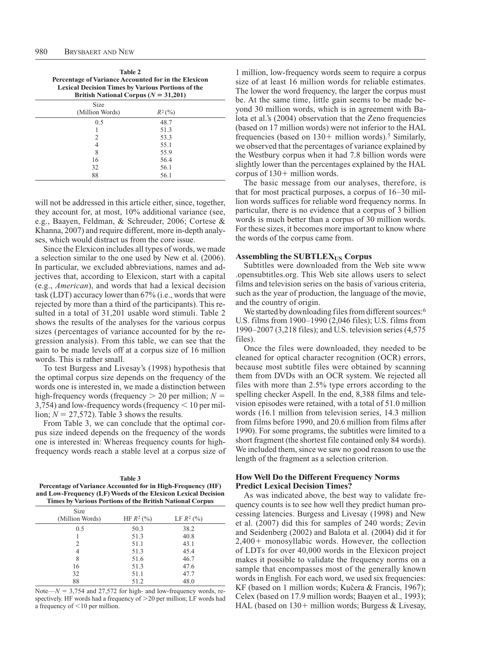| <b>Table 2</b><br>Percentage of Variance Accounted for in the Elexicon<br><b>Lexical Decision Times by Various Portions of the</b><br>British National Corpus ( $N = 31,201$ ) |           |  |  |  |  |  |
|--------------------------------------------------------------------------------------------------------------------------------------------------------------------------------|-----------|--|--|--|--|--|
| <b>Size</b><br>(Million Words)                                                                                                                                                 | $R^2$ (%) |  |  |  |  |  |
| 0.5                                                                                                                                                                            | 48.7      |  |  |  |  |  |
|                                                                                                                                                                                | 513       |  |  |  |  |  |
| $\mathfrak{D}$                                                                                                                                                                 | 53.3      |  |  |  |  |  |
| 4                                                                                                                                                                              | 55.1      |  |  |  |  |  |
| 8                                                                                                                                                                              | 55.9      |  |  |  |  |  |
| 16                                                                                                                                                                             | 56.4      |  |  |  |  |  |
| 32                                                                                                                                                                             | 56.1      |  |  |  |  |  |
| 88                                                                                                                                                                             | 56.1      |  |  |  |  |  |

will not be addressed in this article either, since, together, they account for, at most, 10% additional variance (see, e.g., Baayen, Feldman, & Schreuder, 2006; Cortese & Khanna, 2007) and require different, more in-depth analyses, which would distract us from the core issue.

Since the Elexicon includes all types of words, we made a selection similar to the one used by New et al. (2006). In particular, we excluded abbreviations, names and adjectives that, according to Elexicon, start with a capital (e.g., *American*), and words that had a lexical decision task (LDT) accuracy lower than 67% (i.e., words that were rejected by more than a third of the participants). This resulted in a total of 31,201 usable word stimuli. Table 2 shows the results of the analyses for the various corpus sizes (percentages of variance accounted for by the regression analysis). From this table, we can see that the gain to be made levels off at a corpus size of 16 million words. This is rather small.

To test Burgess and Livesay's (1998) hypothesis that the optimal corpus size depends on the frequency of the words one is interested in, we made a distinction between high-frequency words (frequency  $> 20$  per million;  $N =$ 3,754) and low-frequency words (frequency  $\leq 10$  per million;  $N = 27,572$ ). Table 3 shows the results.

From Table 3, we can conclude that the optimal corpus size indeed depends on the frequency of the words one is interested in: Whereas frequency counts for highfrequency words reach a stable level at a corpus size of

| Table 3                                                       |
|---------------------------------------------------------------|
| Percentage of Variance Accounted for in High-Frequency (HF)   |
| and Low-Frequency (LF) Words of the Elexicon Lexical Decision |
| Times by Various Portions of the British National Corpus      |

| Size<br>(Million Words) | HF $R^2$ (%) | LF $R^2$ (%) |
|-------------------------|--------------|--------------|
| 0.5                     | 50.3         | 38.2         |
|                         | 51.3         | 40.8         |
| 2                       | 51.1         | 43.1         |
| 4                       | 51.3         | 45.4         |
| 8                       | 51.6         | 46.7         |
| 16                      | 51.3         | 47.6         |
| 32                      | 51.1         | 47.7         |
| 88                      | 51.2         | 48.0         |

Note— $N = 3,754$  and 27,572 for high- and low-frequency words, respectively. HF words had a frequency of  $>$ 20 per million; LF words had a frequency of  $<$ 10 per million.

1 million, low-frequency words seem to require a corpus size of at least 16 million words for reliable estimates. The lower the word frequency, the larger the corpus must be. At the same time, little gain seems to be made beyond 30 million words, which is in agreement with Balota et al.'s (2004) observation that the Zeno frequencies (based on 17 million words) were not inferior to the HAL frequencies (based on  $130+$  million words).<sup>5</sup> Similarly, we observed that the percentages of variance explained by the Westbury corpus when it had 7.8 billion words were slightly lower than the percentages explained by the HAL corpus of  $130+$  million words.

The basic message from our analyses, therefore, is that for most practical purposes, a corpus of 16–30 million words suffices for reliable word frequency norms. In particular, there is no evidence that a corpus of 3 billion words is much better than a corpus of 30 million words. For these sizes, it becomes more important to know where the words of the corpus came from.

# Assembling the SUBTLEX<sub>US</sub> Corpus

Subtitles were downloaded from the Web site www .opensubtitles.org. This Web site allows users to select films and television series on the basis of various criteria, such as the year of production, the language of the movie, and the country of origin.

We started by downloading files from different sources:<sup>6</sup> U.S. films from 1900–1990 (2,046 files); U.S. films from 1990–2007 (3,218 files); and U.S. television series (4,575 files).

Once the files were downloaded, they needed to be cleaned for optical character recognition (OCR) errors, because most subtitle files were obtained by scanning them from DVDs with an OCR system. We rejected all files with more than 2.5% type errors according to the spelling checker Aspell. In the end, 8,388 films and television episodes were retained, with a total of 51.0 million words (16.1 million from television series, 14.3 million from films before 1990, and 20.6 million from films after 1990). For some programs, the subtitles were limited to a short fragment (the shortest file contained only 84 words). We included them, since we saw no good reason to use the length of the fragment as a selection criterion.

## **How Well Do the Different Frequency Norms Predict Lexical Decision Times?**

As was indicated above, the best way to validate frequency counts is to see how well they predict human processing latencies. Burgess and Livesay (1998) and New et al. (2007) did this for samples of 240 words; Zevin and Seidenberg (2002) and Balota et al. (2004) did it for  $2,400+$  monosyllabic words. However, the collection of LDTs for over 40,000 words in the Elexicon project makes it possible to validate the frequency norms on a sample that encompasses most of the generally known words in English. For each word, we used six frequencies: KF (based on 1 million words; Kučera & Francis, 1967); Celex (based on 17.9 million words; Baayen et al., 1993); HAL (based on  $130+$  million words; Burgess & Livesay,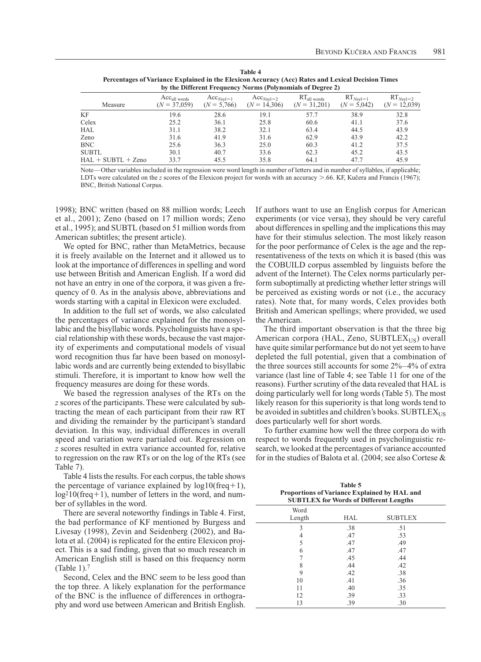| Table 4                                                                                           |
|---------------------------------------------------------------------------------------------------|
| Percentages of Variance Explained in the Elexicon Accuracy (Acc) Rates and Lexical Decision Times |
| by the Different Frequency Norms (Polynomials of Degree 2)                                        |

|                    |                                     |                                 |                                  | $\sim$                          |                                |                                 |
|--------------------|-------------------------------------|---------------------------------|----------------------------------|---------------------------------|--------------------------------|---------------------------------|
| Measure            | $Acc_{all words}$<br>$(N = 37,059)$ | $Acc_{Nsv1=1}$<br>$(N = 5,766)$ | $Acc_{Nsv1=2}$<br>$(N = 14,306)$ | $RTall$ words<br>$(N = 31,201)$ | $RT_{Nsvl=1}$<br>$(N = 5,042)$ | $RT_{Nsv1=2}$<br>$(N = 12,039)$ |
| ΚF                 | 19.6                                | 28.6                            | 19.1                             | 57.7                            | 38.9                           | 32.8                            |
| Celex              | 25.2                                | 36.1                            | 25.8                             | 60.6                            | 41.1                           | 37.6                            |
| HAL                | 31.1                                | 38.2                            | 32.1                             | 63.4                            | 44.5                           | 43.9                            |
| Zeno               | 31.6                                | 41.9                            | 31.6                             | 62.9                            | 43.9                           | 42.2                            |
| <b>BNC</b>         | 25.6                                | 36.3                            | 25.0                             | 60.3                            | 41.2                           | 37.5                            |
| <b>SUBTL</b>       | 30.1                                | 40.7                            | 33.6                             | 62.3                            | 45.2                           | 43.5                            |
| HAL + SUBTL + Zeno | 33.7                                | 45.5                            | 35.8                             | 64.1                            | 47.7                           | 45.9                            |
|                    |                                     |                                 |                                  |                                 |                                |                                 |

Note—Other variables included in the regression were word length in number of letters and in number of syllables, if applicable; LDTs were calculated on the *z* scores of the Elexicon project for words with an accuracy >.66. KF, Kučera and Francis (1967); BNC, British National Corpus.

1998); BNC written (based on 88 million words; Leech et al., 2001); Zeno (based on 17 million words; Zeno et al., 1995); and SUBTL (based on 51 million words from American subtitles; the present article).

We opted for BNC, rather than MetaMetrics, because it is freely available on the Internet and it allowed us to look at the importance of differences in spelling and word use between British and American English. If a word did not have an entry in one of the corpora, it was given a frequency of 0. As in the analysis above, abbreviations and words starting with a capital in Elexicon were excluded.

In addition to the full set of words, we also calculated the percentages of variance explained for the monosyllabic and the bisyllabic words. Psycholinguists have a special relationship with these words, because the vast majority of experiments and computational models of visual word recognition thus far have been based on monosyllabic words and are currently being extended to bisyllabic stimuli. Therefore, it is important to know how well the frequency measures are doing for these words.

We based the regression analyses of the RTs on the *z* scores of the participants. These were calculated by subtracting the mean of each participant from their raw RT and dividing the remainder by the participant's standard deviation. In this way, individual differences in overall speed and variation were partialed out. Regression on *z* scores resulted in extra variance accounted for, relative to regression on the raw RTs or on the log of the RTs (see Table 7).

Table 4 lists the results. For each corpus, the table shows the percentage of variance explained by  $log 10$ (freq+1),  $log<sup>2</sup>10$ (freq + 1), number of letters in the word, and number of syllables in the word.

There are several noteworthy findings in Table 4. First, the bad performance of KF mentioned by Burgess and Livesay (1998), Zevin and Seidenberg (2002), and Balota et al. (2004) is replicated for the entire Elexicon project. This is a sad finding, given that so much research in American English still is based on this frequency norm (Table 1).7

Second, Celex and the BNC seem to be less good than the top three. A likely explanation for the performance of the BNC is the influence of differences in orthography and word use between American and British English. If authors want to use an English corpus for American experiments (or vice versa), they should be very careful about differences in spelling and the implications this may have for their stimulus selection. The most likely reason for the poor performance of Celex is the age and the representativeness of the texts on which it is based (this was the COBUILD corpus assembled by linguists before the advent of the Internet). The Celex norms particularly perform suboptimally at predicting whether letter strings will be perceived as existing words or not (i.e., the accuracy rates). Note that, for many words, Celex provides both British and American spellings; where provided, we used the American.

The third important observation is that the three big American corpora (HAL, Zeno,  $SUBTLEX<sub>US</sub>$ ) overall have quite similar performance but do not yet seem to have depleted the full potential, given that a combination of the three sources still accounts for some 2%–4% of extra variance (last line of Table 4; see Table 11 for one of the reasons). Further scrutiny of the data revealed that HAL is doing particularly well for long words (Table 5). The most likely reason for this superiority is that long words tend to be avoided in subtitles and children's books. SUBTLE $X_{\text{US}}$ does particularly well for short words.

To further examine how well the three corpora do with respect to words frequently used in psycholinguistic research, we looked at the percentages of variance accounted for in the studies of Balota et al. (2004; see also Cortese &

**Table 5 Proportions of Variance Explained by HAL and SUBTLEX for Words of Different Lengths**

| Word   |     |                |  |
|--------|-----|----------------|--|
| Length | HAL | <b>SUBTLEX</b> |  |
| 3      | .38 | .51            |  |
|        | .47 | .53            |  |
| 5      | .47 | .49            |  |
| 6      | .47 | .47            |  |
|        | .45 | .44            |  |
| 8      | .44 | .42            |  |
| 9      | .42 | .38            |  |
| 10     | .41 | .36            |  |
| 11     | .40 | .35            |  |
| 12     | .39 | .33            |  |
| 13     | .39 | .30            |  |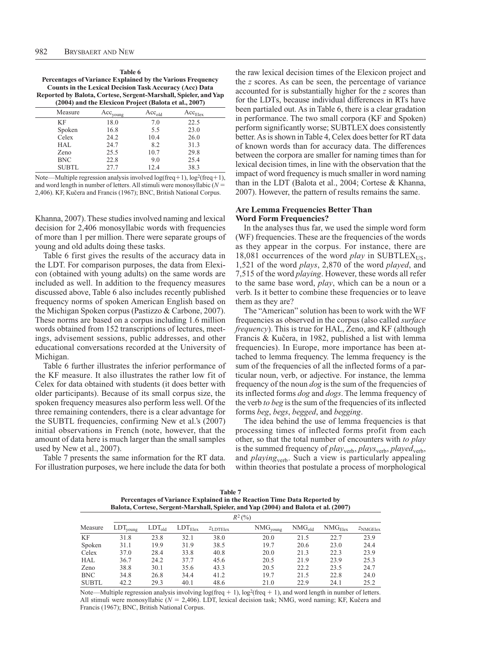**Table 6 Percentages of Variance Explained by the Various Frequency Counts in the Lexical Decision Task Accuracy (Acc) Data Reported by Balota, Cortese, Sergent-Marshall, Spieler, and Yap (2004) and the Elexicon Project (Balota et al., 2007)**

|              |                      |             | ,                   |  |
|--------------|----------------------|-------------|---------------------|--|
| Measure      | Acc <sub>young</sub> | $Acc_{old}$ | Acc <sub>Elex</sub> |  |
| KF           | 18.0                 | 7.0         | 22.5                |  |
| Spoken       | 16.8                 | 5.5         | 23.0                |  |
| Celex        | 24.2                 | 10.4        | 26.0                |  |
| HAL          | 24.7                 | 8.2         | 31.3                |  |
| Zeno         | 25.5                 | 10.7        | 29.8                |  |
| <b>BNC</b>   | 22.8                 | 9.0         | 25.4                |  |
| <b>SUBTL</b> | 27.7                 | 12.4        | 38.3                |  |
|              |                      |             |                     |  |

Note—Multiple regression analysis involved log(freq+1), log<sup>2</sup>(freq+1), and word length in number of letters. All stimuli were monosyllabic  $(N =$ 2,406). KF, Kučera and Francis (1967); BNC, British National Corpus.

Khanna, 2007). These studies involved naming and lexical decision for 2,406 monosyllabic words with frequencies of more than 1 per million. There were separate groups of young and old adults doing these tasks.

Table 6 first gives the results of the accuracy data in the LDT. For comparison purposes, the data from Elexicon (obtained with young adults) on the same words are included as well. In addition to the frequency measures discussed above, Table 6 also includes recently published frequency norms of spoken American English based on the Michigan Spoken corpus (Pastizzo & Carbone, 2007). These norms are based on a corpus including 1.6 million words obtained from 152 transcriptions of lectures, meetings, advisement sessions, public addresses, and other educational conversations recorded at the University of Michigan.

Table 6 further illustrates the inferior performance of the KF measure. It also illustrates the rather low fit of Celex for data obtained with students (it does better with older participants). Because of its small corpus size, the spoken frequency measures also perform less well. Of the three remaining contenders, there is a clear advantage for the SUBTL frequencies, confirming New et al.'s (2007) initial observations in French (note, however, that the amount of data here is much larger than the small samples used by New et al., 2007).

Table 7 presents the same information for the RT data. For illustration purposes, we here include the data for both the raw lexical decision times of the Elexicon project and the *z* scores. As can be seen, the percentage of variance accounted for is substantially higher for the *z* scores than for the LDTs, because individual differences in RTs have been partialed out. As in Table 6, there is a clear gradation in performance. The two small corpora (KF and Spoken) perform significantly worse; SUBTLEX does consistently better. As is shown in Table 4, Celex does better for RT data of known words than for accuracy data. The differences between the corpora are smaller for naming times than for lexical decision times, in line with the observation that the impact of word frequency is much smaller in word naming than in the LDT (Balota et al., 2004; Cortese & Khanna, 2007). However, the pattern of results remains the same.

## **Are Lemma Frequencies Better Than Word Form Frequencies?**

In the analyses thus far, we used the simple word form (WF) frequencies. These are the frequencies of the words as they appear in the corpus. For instance, there are 18,081 occurrences of the word  $play$  in SUBTLEX<sub>US</sub>, 1,521 of the word *plays*, 2,870 of the word *played*, and 7,515 of the word *playing*. However, these words all refer to the same base word, *play*, which can be a noun or a verb. Is it better to combine these frequencies or to leave them as they are?

The "American" solution has been to work with the WF frequencies as observed in the corpus (also called *surface frequency*). This is true for HAL, Zeno, and KF (although Francis & Kučera, in 1982, published a list with lemma frequencies). In Europe, more importance has been attached to lemma frequency. The lemma frequency is the sum of the frequencies of all the inflected forms of a particular noun, verb, or adjective. For instance, the lemma frequency of the noun *dog* is the sum of the frequencies of its inflected forms *dog* and *dogs*. The lemma frequency of the verb *to beg* is the sum of the frequencies of its inflected forms *beg*, *begs*, *begged*, and *begging*.

The idea behind the use of lemma frequencies is that processing times of inflected forms profit from each other, so that the total number of encounters with *to play* is the summed frequency of *play*<sub>verb</sub>, *plays*<sub>verb</sub>, *played*<sub>verb</sub>, and *playing*<sub>verb</sub>. Such a view is particularly appealing within theories that postulate a process of morphological

**Table 7 Percentages of Variance Explained in the Reaction Time Data Reported by Balota, Cortese, Sergent-Marshall, Spieler, and Yap (2004) and Balota et al. (2007)** 

|              |                      |             |                     |             | $R^2$ (%)            |             |                  |             |
|--------------|----------------------|-------------|---------------------|-------------|----------------------|-------------|------------------|-------------|
| Measure      | $LDT_{\text{young}}$ | $LDT_{old}$ | LDT <sub>Elex</sub> | $Z$ LDTElex | NMG <sub>young</sub> | $NMG_{old}$ | $\rm NMG_{Elex}$ | $Z$ NMGElex |
| KF           | 31.8                 | 23.8        | 32.1                | 38.0        | 20.0                 | 21.5        | 22.7             | 23.9        |
| Spoken       | 31.1                 | 19.9        | 31.9                | 38.5        | 19.7                 | 20.6        | 23.0             | 24.4        |
| Celex        | 37.0                 | 28.4        | 33.8                | 40.8        | 20.0                 | 21.3        | 22.3             | 23.9        |
| HAL          | 36.7                 | 24.2        | 37.7                | 45.6        | 20.5                 | 21.9        | 23.9             | 25.3        |
| Zeno         | 38.8                 | 30.1        | 35.6                | 43.3        | 20.5                 | 22.2        | 23.5             | 24.7        |
| <b>BNC</b>   | 34.8                 | 26.8        | 34.4                | 41.2        | 19.7                 | 21.5        | 22.8             | 24.0        |
| <b>SUBTL</b> | 42.2                 | 29.3        | 40.1                | 48.6        | 21.0                 | 22.9        | 24.1             | 25.2        |

Note—Multiple regression analysis involving  $log(freq + 1)$ ,  $log<sup>2</sup>(freq + 1)$ , and word length in number of letters. All stimuli were monosyllabic  $(N = 2,406)$ . LDT, lexical decision task; NMG, word naming; KF, Kučera and Francis (1967); BNC, British National Corpus.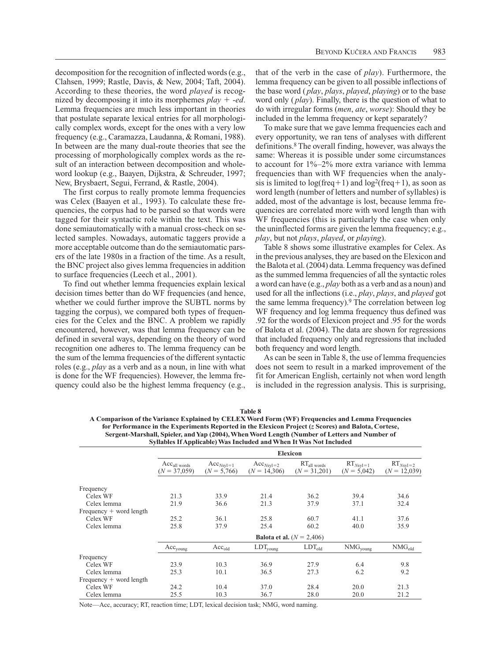decomposition for the recognition of inflected words (e.g., Clahsen, 1999; Rastle, Davis, & New, 2004; Taft, 2004). According to these theories, the word *played* is recognized by decomposing it into its morphemes  $play + -ed$ . Lemma frequencies are much less important in theories that postulate separate lexical entries for all morphologically complex words, except for the ones with a very low frequency (e.g., Caramazza, Laudanna, & Romani, 1988). In between are the many dual-route theories that see the processing of morphologically complex words as the result of an interaction between decomposition and wholeword lookup (e.g., Baayen, Dijkstra, & Schreuder, 1997; New, Brysbaert, Segui, Ferrand, & Rastle, 2004).

The first corpus to really promote lemma frequencies was Celex (Baayen et al., 1993). To calculate these frequencies, the corpus had to be parsed so that words were tagged for their syntactic role within the text. This was done semiautomatically with a manual cross-check on selected samples. Nowadays, automatic taggers provide a more acceptable outcome than do the semiautomatic parsers of the late 1980s in a fraction of the time. As a result, the BNC project also gives lemma frequencies in addition to surface frequencies (Leech et al., 2001).

To find out whether lemma frequencies explain lexical decision times better than do WF frequencies (and hence, whether we could further improve the SUBTL norms by tagging the corpus), we compared both types of frequencies for the Celex and the BNC. A problem we rapidly encountered, however, was that lemma frequency can be defined in several ways, depending on the theory of word recognition one adheres to. The lemma frequency can be the sum of the lemma frequencies of the different syntactic roles (e.g., *play* as a verb and as a noun, in line with what is done for the WF frequencies). However, the lemma frequency could also be the highest lemma frequency (e.g.,

that of the verb in the case of *play*). Furthermore, the lemma frequency can be given to all possible inflections of the base word ( *play*, *plays*, *played*, *playing*) or to the base word only ( *play*). Finally, there is the question of what to do with irregular forms (*men*, *ate*, *worse*): Should they be included in the lemma frequency or kept separately?

To make sure that we gave lemma frequencies each and every opportunity, we ran tens of analyses with different definitions.8 The overall finding, however, was always the same: Whereas it is possible under some circumstances to account for 1%–2% more extra variance with lemma frequencies than with WF frequencies when the analysis is limited to  $log(freq + 1)$  and  $log<sup>2</sup>(freq + 1)$ , as soon as word length (number of letters and number of syllables) is added, most of the advantage is lost, because lemma frequencies are correlated more with word length than with WF frequencies (this is particularly the case when only the uninflected forms are given the lemma frequency; e.g., *play*, but not *plays*, *played*, or *playing*).

Table 8 shows some illustrative examples for Celex. As in the previous analyses, they are based on the Elexicon and the Balota et al. (2004) data. Lemma frequency was defined as the summed lemma frequencies of all the syntactic roles a word can have (e.g., *play* both as a verb and as a noun) and used for all the inflections (i.e., *play*, *plays*, and *played* got the same lemma frequency).<sup>9</sup> The correlation between log WF frequency and log lemma frequency thus defined was .92 for the words of Elexicon project and .95 for the words of Balota et al. (2004). The data are shown for regressions that included frequency only and regressions that included both frequency and word length.

As can be seen in Table 8, the use of lemma frequencies does not seem to result in a marked improvement of the fit for American English, certainly not when word length is included in the regression analysis. This is surprising,

| .<br>۰.<br>۰. |  |
|---------------|--|
|---------------|--|

**A Comparison of the Variance Explained by CELEX Word Form (WF) Frequencies and Lemma Frequencies for Performance in the Experiments Reported in the Elexicon Project (***z* **Scores) and Balota, Cortese, Sergent-Marshall, Spieler, and Yap (2004), When Word Length (Number of Letters and Number of Syllables If Applicable) Was Included and When It Was Not Included**

|                           | <b>Elexicon</b>                     |                                 |                                  |                                        |                                |                                 |  |
|---------------------------|-------------------------------------|---------------------------------|----------------------------------|----------------------------------------|--------------------------------|---------------------------------|--|
|                           | $Acc_{all words}$<br>$(N = 37,059)$ | $Acc_{Nsyl=1}$<br>$(N = 5,766)$ | $Acc_{Nsyl=2}$<br>$(N = 14,306)$ | $RT_{\rm all~words}$<br>$(N = 31,201)$ | $RT_{Nsvl=1}$<br>$(N = 5,042)$ | $RT_{Nsv1=2}$<br>$(N = 12,039)$ |  |
| Frequency                 |                                     |                                 |                                  |                                        |                                |                                 |  |
| Celex WF                  | 21.3                                | 33.9                            | 21.4                             | 36.2                                   | 39.4                           | 34.6                            |  |
|                           |                                     |                                 |                                  |                                        |                                |                                 |  |
| Celex lemma               | 21.9                                | 36.6                            | 21.3                             | 37.9                                   | 37.1                           | 32.4                            |  |
| $Frequency + word length$ |                                     |                                 |                                  |                                        |                                |                                 |  |
| Celex WF                  | 25.2                                | 36.1                            | 25.8                             | 60.7                                   | 41.1                           | 37.6                            |  |
| Celex lemma               | 25.8                                | 37.9                            | 25.4                             | 60.2                                   | 40.0                           | 35.9                            |  |
|                           | <b>Balota et al.</b> $(N = 2,406)$  |                                 |                                  |                                        |                                |                                 |  |
|                           | Acc <sub>young</sub>                | $Acc_{old}$                     | $LDT_{\text{voung}}$             | $LDT_{old}$                            | $NMG_{\text{young}}$           | $NMG_{old}$                     |  |
| Frequency                 |                                     |                                 |                                  |                                        |                                |                                 |  |
| Celex WF                  | 23.9                                | 10.3                            | 36.9                             | 27.9                                   | 6.4                            | 9.8                             |  |
| Celex lemma               | 25.3                                | 10.1                            | 36.5                             | 27.3                                   | 6.2                            | 9.2                             |  |
| $Frequency + word length$ |                                     |                                 |                                  |                                        |                                |                                 |  |
| Celex WF                  | 24.2                                | 10.4                            | 37.0                             | 28.4                                   | 20.0                           | 21.3                            |  |
| Celex lemma               | 25.5                                | 10.3                            | 36.7                             | 28.0                                   | 20.0                           | 21.2                            |  |

Note—Acc, accuracy; RT, reaction time; LDT, lexical decision task; NMG, word naming.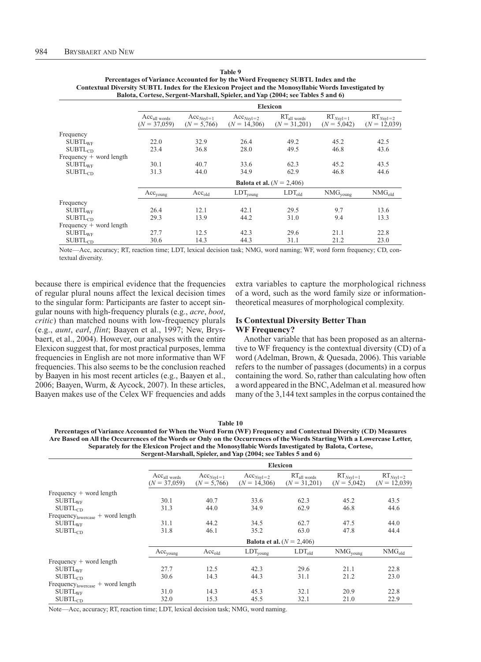| Balota, Cortese, Sergent-Marshall, Spieler, and Yap (2004; see Tables 5 and 6) |                                     |                                 |                                  |                                    |                                |                                 |  |  |  |
|--------------------------------------------------------------------------------|-------------------------------------|---------------------------------|----------------------------------|------------------------------------|--------------------------------|---------------------------------|--|--|--|
|                                                                                |                                     | Elexicon                        |                                  |                                    |                                |                                 |  |  |  |
|                                                                                | $Acc_{all words}$<br>$(N = 37,059)$ | $Acc_{Nsyl=1}$<br>$(N = 5,766)$ | $Acc_{Nsyl=2}$<br>$(N = 14,306)$ | $RT_{all words}$<br>$(N = 31,201)$ | $RT_{Nsyl=1}$<br>$(N = 5,042)$ | $RT_{Nsyl=2}$<br>$(N = 12,039)$ |  |  |  |
| Frequency                                                                      |                                     |                                 |                                  |                                    |                                |                                 |  |  |  |
| $SUBTL_{WF}$                                                                   | 22.0                                | 32.9                            | 26.4                             | 49.2                               | 45.2                           | 42.5                            |  |  |  |
| SUBTL <sub>CD</sub>                                                            | 23.4                                | 36.8                            | 28.0                             | 49.5                               | 46.8                           | 43.6                            |  |  |  |
| $Frequency + word length$                                                      |                                     |                                 |                                  |                                    |                                |                                 |  |  |  |
| $SUBTL_{WF}$                                                                   | 30.1                                | 40.7                            | 33.6                             | 62.3                               | 45.2                           | 43.5                            |  |  |  |
| SUBTL <sub>CD</sub>                                                            | 31.3                                | 44.0                            | 34.9                             | 62.9                               | 46.8                           | 44.6                            |  |  |  |
|                                                                                | <b>Balota et al.</b> $(N = 2,406)$  |                                 |                                  |                                    |                                |                                 |  |  |  |
|                                                                                | Acc <sub>young</sub>                | $Acc_{old}$                     | $LDT_{young}$                    | $LDT_{old}$                        | $NMG_{\text{young}}$           | $\mathrm{NMG}_{\mathrm{old}}$   |  |  |  |
| Frequency                                                                      |                                     |                                 |                                  |                                    |                                |                                 |  |  |  |
| <b>SUBTL</b> <sub>WF</sub>                                                     | 26.4                                | 12.1                            | 42.1                             | 29.5                               | 9.7                            | 13.6                            |  |  |  |
| SUBTL <sub>CD</sub>                                                            | 29.3                                | 13.9                            | 44.2                             | 31.0                               | 9.4                            | 13.3                            |  |  |  |
| Frequency $+$ word length                                                      |                                     |                                 |                                  |                                    |                                |                                 |  |  |  |
| <b>SUBTL</b> <sub>WF</sub>                                                     | 27.7                                | 12.5                            | 42.3                             | 29.6                               | 21.1                           | 22.8                            |  |  |  |
| $\textsc{SUBTL}_{\textsc{CD}}$                                                 | 30.6                                | 14.3                            | 44.3                             | 31.1                               | 21.2                           | 23.0                            |  |  |  |

| Table 9                                                                                              |
|------------------------------------------------------------------------------------------------------|
| Percentages of Variance Accounted for by the Word Frequency SUBTL Index and the                      |
| Contextual Diversity SUBTL Index for the Elexicon Project and the Monosyllabic Words Investigated by |
| Balota, Cortese, Sergent-Marshall, Spieler, and Yap (2004; see Tables 5 and 6)                       |

Note—Acc, accuracy; RT, reaction time; LDT, lexical decision task; NMG, word naming; WF, word form frequency; CD, contextual diversity.

because there is empirical evidence that the frequencies of regular plural nouns affect the lexical decision times to the singular form: Participants are faster to accept singular nouns with high-frequency plurals (e.g., *acre*, *boot*, *critic*) than matched nouns with low-frequency plurals (e.g., *aunt*, *earl*, *flint*; Baayen et al., 1997; New, Brysbaert, et al., 2004). However, our analyses with the entire Elexicon suggest that, for most practical purposes, lemma frequencies in English are not more informative than WF frequencies. This also seems to be the conclusion reached by Baayen in his most recent articles (e.g., Baayen et al., 2006; Baayen, Wurm, & Aycock, 2007). In these articles, Baayen makes use of the Celex WF frequencies and adds

extra variables to capture the morphological richness of a word, such as the word family size or informationtheoretical measures of morphological complexity.

## **Is Contextual Diversity Better Than WF Frequency?**

Another variable that has been proposed as an alternative to WF frequency is the contextual diversity (CD) of a word (Adelman, Brown, & Quesada, 2006). This variable refers to the number of passages (documents) in a corpus containing the word. So, rather than calculating how often a word appeared in the BNC, Adelman et al. measured how many of the 3,144 text samples in the corpus contained the

**Table 10 Percentages of Variance Accounted for When the Word Form (WF) Frequency and Contextual Diversity (CD) Measures Are Based on All the Occurrences of the Words or Only on the Occurrences of the Words Starting With a Lowercase Letter, Separately for the Elexicon Project and the Monosyllabic Words Investigated by Balota, Cortese, Sergent-Marshall, Spieler, and Yap (2004; see Tables 5 and 6)**

|                                       |                                     | Elexicon                           |                                  |                                           |                                |                                 |  |
|---------------------------------------|-------------------------------------|------------------------------------|----------------------------------|-------------------------------------------|--------------------------------|---------------------------------|--|
|                                       | $Acc_{all words}$<br>$(N = 37,059)$ | $Acc_{Nsyl=1}$<br>$(N = 5,766)$    | $Acc_{Nsv1=2}$<br>$(N = 14,306)$ | RT <sub>all words</sub><br>$(N = 31,201)$ | $RT_{Nsyl=1}$<br>$(N = 5,042)$ | $RT_{Nsyl=2}$<br>$(N = 12,039)$ |  |
| $Frequency + word length$             |                                     |                                    |                                  |                                           |                                |                                 |  |
| $SUBTL_{WF}$                          | 30.1                                | 40.7                               | 33.6                             | 62.3                                      | 45.2                           | 43.5                            |  |
| SUBTL <sub>CD</sub>                   | 31.3                                | 44.0                               | 34.9                             | 62.9                                      | 46.8                           | 44.6                            |  |
| $Frequency_{lowercase} + word length$ |                                     |                                    |                                  |                                           |                                |                                 |  |
| $SUBTL_{WF}$                          | 31.1                                | 44.2                               | 34.5                             | 62.7                                      | 47.5                           | 44.0                            |  |
| SUBTL <sub>CD</sub>                   | 31.8                                | 46.1                               | 35.2                             | 63.0                                      | 47.8                           | 44.4                            |  |
|                                       |                                     | <b>Balota et al.</b> $(N = 2,406)$ |                                  |                                           |                                |                                 |  |
|                                       | Acc <sub>young</sub>                | $Acc_{old}$                        | $LDT_{young}$                    | $LDT_{old}$                               | $NMG_{\text{young}}$           | $\mathrm{NMG}_{\mathrm{old}}$   |  |
| $Frequency + word length$             |                                     |                                    |                                  |                                           |                                |                                 |  |
| <b>SUBTL</b> <sub>WF</sub>            | 27.7                                | 12.5                               | 42.3                             | 29.6                                      | 21.1                           | 22.8                            |  |
| SUBTL <sub>CD</sub>                   | 30.6                                | 14.3                               | 44.3                             | 31.1                                      | 21.2                           | 23.0                            |  |
| $Frequency_{lowercase} + word length$ |                                     |                                    |                                  |                                           |                                |                                 |  |
| $SUBTL_{WF}$                          | 31.0                                | 14.3                               | 45.3                             | 32.1                                      | 20.9                           | 22.8                            |  |
| $\textsc{SUBTL}_{\textsc{CD}}$        | 32.0                                | 15.3                               | 45.5                             | 32.1                                      | 21.0                           | 22.9                            |  |

Note—Acc, accuracy; RT, reaction time; LDT, lexical decision task; NMG, word naming.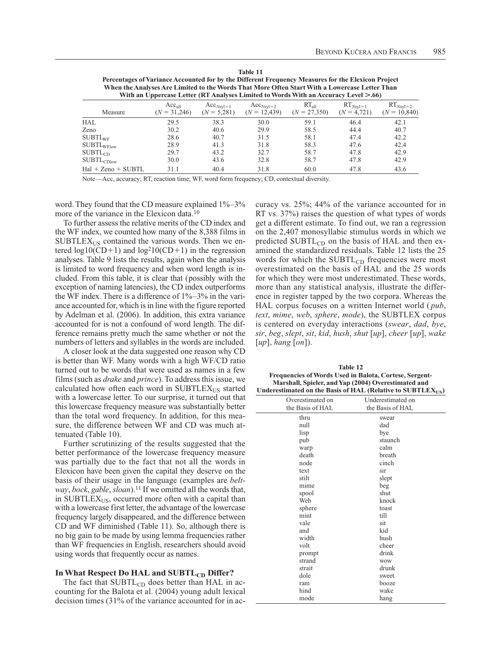| Percentages of Variance Accounted for by the Different Frequency Measures for the Elexicon Project<br>When the Analyses Are Limited to the Words That More Often Start With a Lowercase Letter Than<br>With an Uppercase Letter (RT Analyses Limited to Words With an Accuracy Level $> 0.66$ ) |                                      |                                 |                                  |                              |                                 |                                 |
|-------------------------------------------------------------------------------------------------------------------------------------------------------------------------------------------------------------------------------------------------------------------------------------------------|--------------------------------------|---------------------------------|----------------------------------|------------------------------|---------------------------------|---------------------------------|
| Measure                                                                                                                                                                                                                                                                                         | Acc <sub>all</sub><br>$(N = 31,246)$ | $Acc_{Nsv1=1}$<br>$(N = 5,281)$ | $Acc_{Nsv1=2}$<br>$(N = 12,439)$ | $RT_{all}$<br>$(N = 27,350)$ | $RT_{Nsyl=1}$<br>$(N = 4, 721)$ | $RT_{Nsyl=2}$<br>$(N = 10,840)$ |
| HAL                                                                                                                                                                                                                                                                                             | 29.5                                 | 38.3                            | 30.0                             | 59.1                         | 46.4                            | 42.1                            |
| Zeno                                                                                                                                                                                                                                                                                            | 30.2                                 | 40.6                            | 29.9                             | 58.5                         | 44.4                            | 40.7                            |
| <b>SUBTLWF</b>                                                                                                                                                                                                                                                                                  | 28.6                                 | 40.7                            | 31.5                             | 58.1                         | 47.4                            | 42.2                            |
| $SUBTL_{WFlow}$                                                                                                                                                                                                                                                                                 | 28.9                                 | 41.3                            | 31.8                             | 58.3                         | 47.6                            | 42.4                            |
| $SUBTL_{CD}$                                                                                                                                                                                                                                                                                    | 29.7                                 | 43.2                            | 32.7                             | 58.7                         | 47.8                            | 42.9                            |
| $SUBTL_{CDlow}$                                                                                                                                                                                                                                                                                 | 30.0                                 | 43.6                            | 32.8                             | 58.7                         | 47.8                            | 42.9                            |
| $Hal + Zeno + SUBTL$                                                                                                                                                                                                                                                                            | 31.1                                 | 40.4                            | 31.8                             | 60.0                         | 47.8                            | 43.6                            |

| Table 11                                                                                           |
|----------------------------------------------------------------------------------------------------|
| Percentages of Variance Accounted for by the Different Frequency Measures for the Elexicon Project |
| When the Analyses Are Limited to the Words That More Often Start With a Lowercase Letter Than      |
| With an Uppercase Letter (RT Analyses Limited to Words With an Accuracy Level >.66)                |

Note—Acc, accuracy; RT, reaction time; WF, word form frequency; CD, contextual diversity.

word. They found that the CD measure explained 1%–3% more of the variance in the Elexicon data.10

To further assess the relative merits of the CD index and the WF index, we counted how many of the 8,388 films in  $SUBTLEX<sub>US</sub>$  contained the various words. Then we entered  $log10(CD+1)$  and  $log210(CD+1)$  in the regression analyses. Table 9 lists the results, again when the analysis is limited to word frequency and when word length is included. From this table, it is clear that (possibly with the exception of naming latencies), the CD index outperforms the WF index. There is a difference of 1%–3% in the variance accounted for, which is in line with the figure reported by Adelman et al. (2006). In addition, this extra variance accounted for is not a confound of word length. The difference remains pretty much the same whether or not the numbers of letters and syllables in the words are included.

A closer look at the data suggested one reason why CD is better than WF. Many words with a high WF/CD ratio turned out to be words that were used as names in a few films (such as *drake* and *prince*). To address this issue, we calculated how often each word in  $SUBTLEX<sub>US</sub>$  started with a lowercase letter. To our surprise, it turned out that this lowercase frequency measure was substantially better than the total word frequency. In addition, for this measure, the difference between WF and CD was much attenuated (Table 10).

Further scrutinizing of the results suggested that the better performance of the lowercase frequency measure was partially due to the fact that not all the words in Elexicon have been given the capital they deserve on the basis of their usage in the language (examples are *beltway*, *bock*, *gable*, *sloan*).11 If we omitted all the words that, in SUBTLEX<sub>US</sub>, occurred more often with a capital than with a lowercase first letter, the advantage of the lowercase frequency largely disappeared, and the difference between CD and WF diminished (Table 11). So, although there is no big gain to be made by using lemma frequencies rather than WF frequencies in English, researchers should avoid using words that frequently occur as names.

### In What Respect Do HAL and SUBTL<sub>CD</sub> Differ?

The fact that  $SUBTL<sub>CD</sub>$  does better than HAL in accounting for the Balota et al. (2004) young adult lexical decision times (31% of the variance accounted for in accuracy vs. 25%; 44% of the variance accounted for in RT vs. 37%) raises the question of what types of words get a different estimate. To find out, we ran a regression on the 2,407 monosyllabic stimulus words in which we predicted SUBTL<sub>CD</sub> on the basis of HAL and then examined the standardized residuals. Table 12 lists the 25 words for which the  $SUBTL<sub>CD</sub>$  frequencies were most overestimated on the basis of HAL and the 25 words for which they were most underestimated. These words, more than any statistical analysis, illustrate the difference in register tapped by the two corpora. Whereas the HAL corpus focuses on a written Internet world ( *pub*, *text*, *mime*, *web*, *sphere*, *mode*), the SUBTLEX corpus is centered on everyday interactions (*swear*, *dad*, *bye*, *sir*, *beg*, *slept*, *sit*, *kid*, *hush*, *shut* [*up*], *cheer* [*up*], *wake* [*up*], *hang* [*on*]).

**Table 12 Frequencies of Words Used in Balota, Cortese, Sergent-Marshall, Spieler, and Yap (2004) Overestimated and**  Underestimated on the Basis of HAL (Relative to SUBTLEX<sub>US</sub>)

| Overestimated on<br>the Basis of HAL | Underestimated on<br>the Basis of HAL |  |
|--------------------------------------|---------------------------------------|--|
|                                      |                                       |  |
| thru                                 | swear                                 |  |
| null                                 | dad                                   |  |
| lisp                                 | bye                                   |  |
| pub                                  | staunch                               |  |
| warp                                 | calm                                  |  |
| death                                | breath                                |  |
| node                                 | cinch                                 |  |
| text                                 | sir                                   |  |
| stilt                                | slept                                 |  |
| mime                                 | beg                                   |  |
| spool                                | shut                                  |  |
| Web                                  | knock                                 |  |
| sphere                               | toast                                 |  |
| mint                                 | till                                  |  |
| vale                                 | sit                                   |  |
| and                                  | kid                                   |  |
| width                                | hush                                  |  |
| volt                                 | cheer                                 |  |
| prompt                               | drink                                 |  |
| strand                               | <b>WOW</b>                            |  |
| strait                               | drunk                                 |  |
| dole                                 | sweet                                 |  |
| ram                                  | booze                                 |  |
| hind                                 | wake                                  |  |
| mode                                 | hang                                  |  |
|                                      |                                       |  |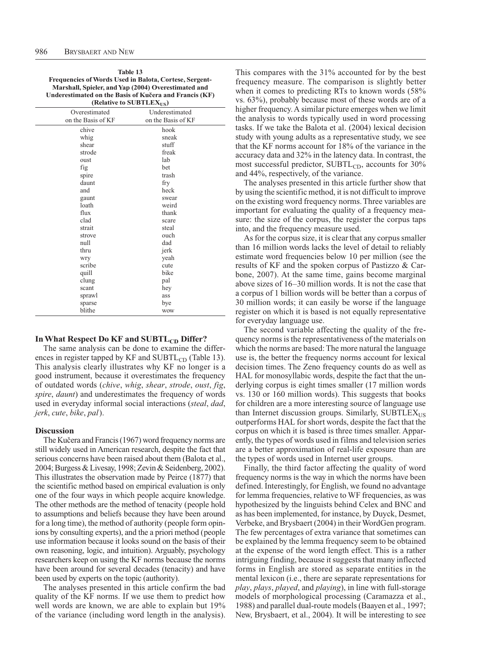| Table 13                                               |
|--------------------------------------------------------|
| Frequencies of Words Used in Balota, Cortese, Sergent- |
| Marshall, Spieler, and Yap (2004) Overestimated and    |
| Underestimated on the Basis of Kučera and Francis (KF) |
| (Relative to SUBTLEX <sub>US</sub> )                   |

| Overestimated      | Underestimated     |  |
|--------------------|--------------------|--|
| on the Basis of KF | on the Basis of KF |  |
| chive              | hook               |  |
| whig               | sneak              |  |
| shear              | stuff              |  |
| strode             | freak              |  |
| oust               | lab                |  |
| fig                | bet                |  |
| spire              | trash              |  |
| daunt              | fry                |  |
| and                | heck               |  |
| gaunt              | swear              |  |
| loath              | weird              |  |
| flux               | thank              |  |
| clad               | scare              |  |
| strait             | steal              |  |
| strove             | ouch               |  |
| null               | dad                |  |
| thru               | jerk               |  |
| wry                | yeah               |  |
| scribe             | cute               |  |
| quill              | bike               |  |
| clung              | pal                |  |
| scant              | hey                |  |
| sprawl             | ass                |  |
| sparse             | bye                |  |
| blithe             | <b>WOW</b>         |  |

## In What Respect Do KF and SUBTL<sub>CD</sub> Differ?

The same analysis can be done to examine the differences in register tapped by  $KF$  and  $SUBTL<sub>CD</sub>$  (Table 13). This analysis clearly illustrates why KF no longer is a good instrument, because it overestimates the frequency of outdated words (*chive*, *whig*, *shear*, *strode*, *oust*, *fig*, *spire*, *daunt*) and underestimates the frequency of words used in everyday informal social interactions (*steal*, *dad*, *jerk*, *cute*, *bike*, *pal*).

## **Discussion**

The Kučera and Francis (1967) word frequency norms are still widely used in American research, despite the fact that serious concerns have been raised about them (Balota et al., 2004; Burgess & Livesay, 1998; Zevin & Seidenberg, 2002). This illustrates the observation made by Peirce (1877) that the scientific method based on empirical evaluation is only one of the four ways in which people acquire knowledge. The other methods are the method of tenacity (people hold to assumptions and beliefs because they have been around for a long time), the method of authority (people form opinions by consulting experts), and the a priori method (people use information because it looks sound on the basis of their own reasoning, logic, and intuition). Arguably, psychology researchers keep on using the KF norms because the norms have been around for several decades (tenacity) and have been used by experts on the topic (authority).

The analyses presented in this article confirm the bad quality of the KF norms. If we use them to predict how well words are known, we are able to explain but 19% of the variance (including word length in the analysis). This compares with the 31% accounted for by the best frequency measure. The comparison is slightly better when it comes to predicting RTs to known words (58% vs. 63%), probably because most of these words are of a higher frequency. A similar picture emerges when we limit the analysis to words typically used in word processing tasks. If we take the Balota et al. (2004) lexical decision study with young adults as a representative study, we see that the KF norms account for 18% of the variance in the accuracy data and 32% in the latency data. In contrast, the most successful predictor,  $SUBTL<sub>CD</sub>$ , accounts for 30% and 44%, respectively, of the variance.

The analyses presented in this article further show that by using the scientific method, it is not difficult to improve on the existing word frequency norms. Three variables are important for evaluating the quality of a frequency measure: the size of the corpus, the register the corpus taps into, and the frequency measure used.

As for the corpus size, it is clear that any corpus smaller than 16 million words lacks the level of detail to reliably estimate word frequencies below 10 per million (see the results of KF and the spoken corpus of Pastizzo & Carbone, 2007). At the same time, gains become marginal above sizes of 16–30 million words. It is not the case that a corpus of 1 billion words will be better than a corpus of 30 million words; it can easily be worse if the language register on which it is based is not equally representative for everyday language use.

The second variable affecting the quality of the frequency norms is the representativeness of the materials on which the norms are based: The more natural the language use is, the better the frequency norms account for lexical decision times. The Zeno frequency counts do as well as HAL for monosyllabic words, despite the fact that the underlying corpus is eight times smaller (17 million words vs. 130 or 160 million words). This suggests that books for children are a more interesting source of language use than Internet discussion groups. Similarly,  $SUBTLEX<sub>US</sub>$ outperforms HAL for short words, despite the fact that the corpus on which it is based is three times smaller. Apparently, the types of words used in films and television series are a better approximation of real-life exposure than are the types of words used in Internet user groups.

Finally, the third factor affecting the quality of word frequency norms is the way in which the norms have been defined. Interestingly, for English, we found no advantage for lemma frequencies, relative to WF frequencies, as was hypothesized by the linguists behind Celex and BNC and as has been implemented, for instance, by Duyck, Desmet, Verbeke, and Brysbaert (2004) in their WordGen program. The few percentages of extra variance that sometimes can be explained by the lemma frequency seem to be obtained at the expense of the word length effect. This is a rather intriguing finding, because it suggests that many inflected forms in English are stored as separate entities in the mental lexicon (i.e., there are separate representations for *play*, *plays*, *played*, and *playing*), in line with full-storage models of morphological processing (Caramazza et al., 1988) and parallel dual-route models (Baayen et al., 1997; New, Brysbaert, et al., 2004). It will be interesting to see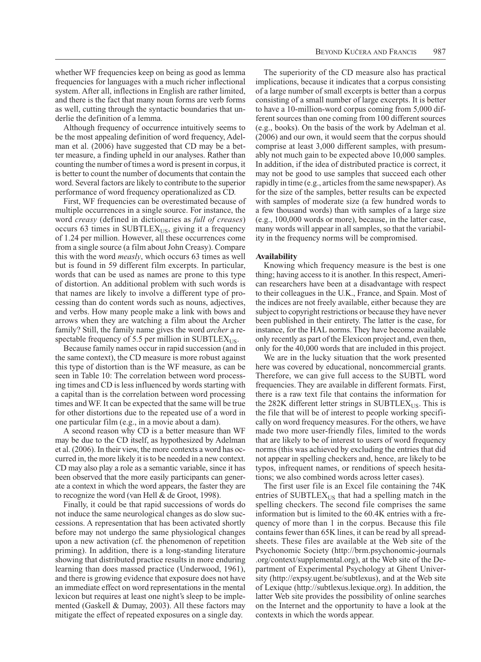as well, cutting through the syntactic boundaries that underlie the definition of a lemma.

Although frequency of occurrence intuitively seems to be the most appealing definition of word frequency, Adelman et al. (2006) have suggested that CD may be a better measure, a finding upheld in our analyses. Rather than counting the number of times a word is present in corpus, it is better to count the number of documents that contain the word. Several factors are likely to contribute to the superior performance of word frequency operationalized as CD.

First, WF frequencies can be overestimated because of multiple occurrences in a single source. For instance, the word *creasy* (defined in dictionaries as *full of creases*) occurs 63 times in SUBTLE $X_{\text{US}}$ , giving it a frequency of 1.24 per million. However, all these occurrences come from a single source (a film about John Creasy). Compare this with the word *measly*, which occurs 63 times as well but is found in 59 different film excerpts. In particular, words that can be used as names are prone to this type of distortion. An additional problem with such words is that names are likely to involve a different type of processing than do content words such as nouns, adjectives, and verbs. How many people make a link with bows and arrows when they are watching a film about the Archer family? Still, the family name gives the word *archer* a respectable frequency of 5.5 per million in SUBTLE $X_{US}$ .

Because family names occur in rapid succession (and in the same context), the CD measure is more robust against this type of distortion than is the WF measure, as can be seen in Table 10: The correlation between word processing times and CD is less influenced by words starting with a capital than is the correlation between word processing times and WF. It can be expected that the same will be true for other distortions due to the repeated use of a word in one particular film (e.g., in a movie about a dam).

A second reason why CD is a better measure than WF may be due to the CD itself, as hypothesized by Adelman et al. (2006). In their view, the more contexts a word has occurred in, the more likely it is to be needed in a new context. CD may also play a role as a semantic variable, since it has been observed that the more easily participants can generate a context in which the word appears, the faster they are to recognize the word (van Hell & de Groot, 1998).

Finally, it could be that rapid successions of words do not induce the same neurological changes as do slow successions. A representation that has been activated shortly before may not undergo the same physiological changes upon a new activation (cf. the phenomenon of repetition priming). In addition, there is a long-standing literature showing that distributed practice results in more enduring learning than does massed practice (Underwood, 1961), and there is growing evidence that exposure does not have an immediate effect on word representations in the mental lexicon but requires at least one night's sleep to be implemented (Gaskell & Dumay, 2003). All these factors may mitigate the effect of repeated exposures on a single day.

The superiority of the CD measure also has practical implications, because it indicates that a corpus consisting of a large number of small excerpts is better than a corpus consisting of a small number of large excerpts. It is better to have a 10-million-word corpus coming from 5,000 different sources than one coming from 100 different sources (e.g., books). On the basis of the work by Adelman et al. (2006) and our own, it would seem that the corpus should comprise at least 3,000 different samples, with presumably not much gain to be expected above 10,000 samples. In addition, if the idea of distributed practice is correct, it may not be good to use samples that succeed each other rapidly in time (e.g., articles from the same newspaper). As for the size of the samples, better results can be expected with samples of moderate size (a few hundred words to a few thousand words) than with samples of a large size (e.g., 100,000 words or more), because, in the latter case, many words will appear in all samples, so that the variability in the frequency norms will be compromised.

## **Availability**

Knowing which frequency measure is the best is one thing; having access to it is another. In this respect, American researchers have been at a disadvantage with respect to their colleagues in the U.K., France, and Spain. Most of the indices are not freely available, either because they are subject to copyright restrictions or because they have never been published in their entirety. The latter is the case, for instance, for the HAL norms. They have become available only recently as part of the Elexicon project and, even then, only for the 40,000 words that are included in this project.

We are in the lucky situation that the work presented here was covered by educational, noncommercial grants. Therefore, we can give full access to the SUBTL word frequencies. They are available in different formats. First, there is a raw text file that contains the information for the  $282K$  different letter strings in SUBTLEX<sub>US</sub>. This is the file that will be of interest to people working specifically on word frequency measures. For the others, we have made two more user-friendly files, limited to the words that are likely to be of interest to users of word frequency norms (this was achieved by excluding the entries that did not appear in spelling checkers and, hence, are likely to be typos, infrequent names, or renditions of speech hesitations; we also combined words across letter cases).

The first user file is an Excel file containing the 74K entries of  $\text{SUBTLEX}_{\text{US}}$  that had a spelling match in the spelling checkers. The second file comprises the same information but is limited to the 60.4K entries with a frequency of more than 1 in the corpus. Because this file contains fewer than 65K lines, it can be read by all spreadsheets. These files are available at the Web site of the Psychonomic Society (http://brm.psychonomic-journals .org/context/supplemental.org), at the Web site of the Department of Experimental Psychology at Ghent University (http://expsy.ugent.be/subtlexus), and at the Web site of Lexique (http://subtlexus.lexique.org). In addition, the latter Web site provides the possibility of online searches on the Internet and the opportunity to have a look at the contexts in which the words appear.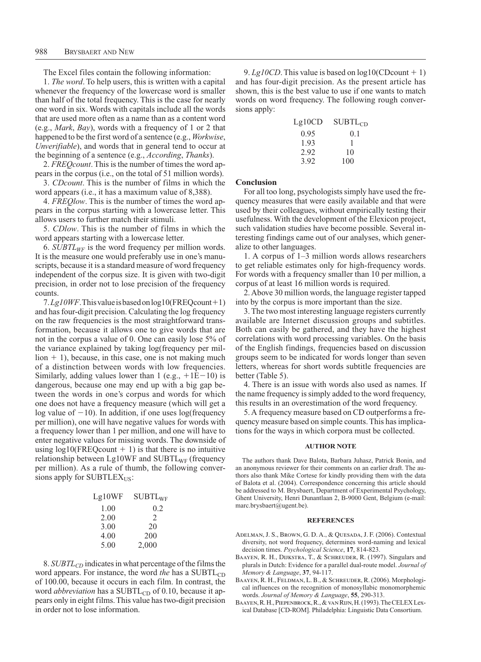The Excel files contain the following information:

1. *The word*. To help users, this is written with a capital whenever the frequency of the lowercase word is smaller than half of the total frequency. This is the case for nearly one word in six. Words with capitals include all the words that are used more often as a name than as a content word (e.g., *Mark*, *Bay*), words with a frequency of 1 or 2 that happened to be the first word of a sentence (e.g., *Workwise*, *Unverifiable*), and words that in general tend to occur at the beginning of a sentence (e.g., *According*, *Thanks*).

2. *FREQcount*. This is the number of times the word appears in the corpus (i.e., on the total of 51 million words).

3. *CDcount*. This is the number of films in which the word appears (i.e., it has a maximum value of 8,388).

4. *FREQlow*. This is the number of times the word appears in the corpus starting with a lowercase letter. This allows users to further match their stimuli.

5. *CDlow*. This is the number of films in which the word appears starting with a lowercase letter.

6.  $SUBTL_{WF}$  is the word frequency per million words. It is the measure one would preferably use in one's manuscripts, because it is a standard measure of word frequency independent of the corpus size. It is given with two-digit precision, in order not to lose precision of the frequency counts.

7.  $Lg10WF$ . This value is based on  $log10(FREQcount+1)$ and has four-digit precision. Calculating the log frequency on the raw frequencies is the most straightforward transformation, because it allows one to give words that are not in the corpus a value of 0. One can easily lose 5% of the variance explained by taking log(frequency per mil- $\lim_{h \to 1}$ , because, in this case, one is not making much of a distinction between words with low frequencies. Similarly, adding values lower than 1 (e.g.,  $+1E-10$ ) is dangerous, because one may end up with a big gap between the words in one's corpus and words for which one does not have a frequency measure (which will get a log value of  $-10$ ). In addition, if one uses log(frequency per million), one will have negative values for words with a frequency lower than 1 per million, and one will have to enter negative values for missing words. The downside of using  $log10(FREQcount + 1)$  is that there is no intuitive relationship between  $Lg10WF$  and  $SUBTL_{WF}$  (frequency per million). As a rule of thumb, the following conversions apply for  $SUBTLEX<sub>US</sub>$ :

| Lg10WF | <b>SUBTL<sub>WF</sub></b> |
|--------|---------------------------|
| 1.00   | 0.2                       |
| 2.00   | $\mathfrak{D}$            |
| 3.00   | 20                        |
| 4.00   | 200                       |
| 5.00   | 2,000                     |

8. *SUBTLCD* indicates in what percentage of the films the word appears. For instance, the word *the* has a SUBTL<sub>CD</sub> of 100.00, because it occurs in each film. In contrast, the word *abbreviation* has a SUBTL<sub>CD</sub> of 0.10, because it appears only in eight films. This value has two-digit precision in order not to lose information.

9. *Lg10CD*. This value is based on  $log10$ (CDcount + 1) and has four-digit precision. As the present article has shown, this is the best value to use if one wants to match words on word frequency. The following rough conversions apply:

| Lg10CD | SUBTL <sub>CD</sub> |
|--------|---------------------|
| 0.95   | 0.1                 |
| 1.93   |                     |
| 2.92   | 10                  |
| 3.92   | 100                 |

#### **Conclusion**

For all too long, psychologists simply have used the frequency measures that were easily available and that were used by their colleagues, without empirically testing their usefulness. With the development of the Elexicon project, such validation studies have become possible. Several interesting findings came out of our analyses, which generalize to other languages.

1. A corpus of 1–3 million words allows researchers to get reliable estimates only for high-frequency words. For words with a frequency smaller than 10 per million, a corpus of at least 16 million words is required.

2. Above 30 million words, the language register tapped into by the corpus is more important than the size.

3. The two most interesting language registers currently available are Internet discussion groups and subtitles. Both can easily be gathered, and they have the highest correlations with word processing variables. On the basis of the English findings, frequencies based on discussion groups seem to be indicated for words longer than seven letters, whereas for short words subtitle frequencies are better (Table 5).

4. There is an issue with words also used as names. If the name frequency is simply added to the word frequency, this results in an overestimation of the word frequency.

5. A frequency measure based on CD outperforms a frequency measure based on simple counts. This has implications for the ways in which corpora must be collected.

## **Author Note**

The authors thank Dave Balota, Barbara Juhasz, Patrick Bonin, and an anonymous reviewer for their comments on an earlier draft. The authors also thank Mike Cortese for kindly providing them with the data of Balota et al. (2004). Correspondence concerning this article should be addressed to M. Brysbaert, Department of Experimental Psychology, Ghent University, Henri Dunantlaan 2, B-9000 Gent, Belgium (e-mail: marc.brysbaert@ugent.be).

#### **References**

- Adelman, J. S., Brown, G. D. A., & Quesada, J. F. (2006). Contextual diversity, not word frequency, determines word-naming and lexical decision times. *Psychological Science*, **17**, 814-823.
- BAAYEN, R. H., DIJKSTRA, T., & SCHREUDER, R. (1997). Singulars and plurals in Dutch: Evidence for a parallel dual-route model. *Journal of Memory & Language*, **37**, 94-117.
- Baayen, R. H., Feldman, L. B., & Schreuder, R. (2006). Morphological influences on the recognition of monosyllabic monomorphemic words. *Journal of Memory & Language*, **55**, 290-313.
- Baayen, R. H., Piepenbrock, R., & van Rijn, H. (1993). The CELEX Lexical Database [CD-ROM]. Philadelphia: Linguistic Data Consortium.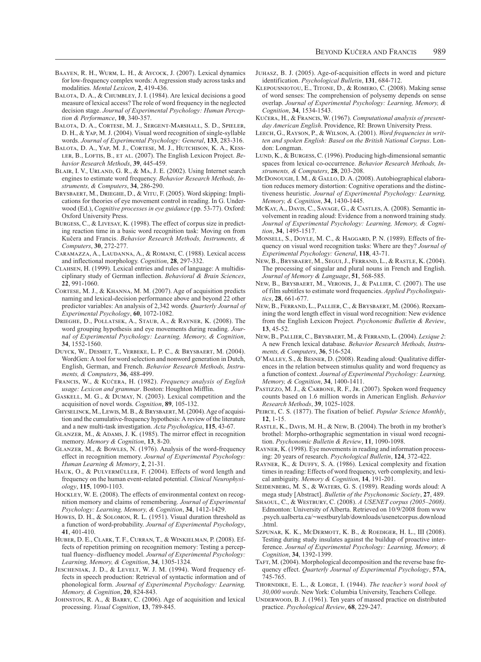- Baayen, R. H., Wurm, L. H., & Aycock, J. (2007). Lexical dynamics for low-frequency complex words: A regression study across tasks and modalities. *Mental Lexicon*, **2**, 419-436.
- BALOTA, D. A., & CHUMBLEY, J. I. (1984). Are lexical decisions a good measure of lexical access? The role of word frequency in the neglected decision stage. *Journal of Experimental Psychology: Human Perception & Performance*, **10**, 340-357.
- Balota, D. A., Cortese, M. J., Sergent-Marshall, S. D., Spieler, D. H., & Yap, M. J. (2004). Visual word recognition of single-syllable words. *Journal of Experimental Psychology: General*, **133**, 283-316.
- Balota, D. A., Yap, M. J., Cortese, M. J., Hutchison, K. A., Kess-LER, B., LOFTIS, B., ET AL. (2007). The English Lexicon Project. Be*havior Research Methods*, **39**, 445-459.
- Blair, I. V., Urland, G. R., & Ma, J. E. (2002). Using Internet search engines to estimate word frequency. *Behavior Research Methods, Instruments, & Computers*, **34**, 286-290.
- BRYSBAERT, M., DRIEGHE, D., & VITU, F. (2005). Word skipping: Implications for theories of eye movement control in reading. In G. Underwood (Ed.), *Cognitive processes in eye guidance* (pp. 53-77). Oxford: Oxford University Press.
- Burgess, C., & Livesay, K. (1998). The effect of corpus size in predicting reaction time in a basic word recognition task: Moving on from Kučera and Francis. *Behavior Research Methods, Instruments, & Computers*, **30**, 272-277.
- Caramazza, A., Laudanna, A., & Romani, C. (1988). Lexical access and inflectional morphology. *Cognition*, **28**, 297-332.
- Clahsen, H. (1999). Lexical entries and rules of language: A multidisciplinary study of German inflection. *Behavioral & Brain Sciences*, **22**, 991-1060.
- Cortese, M. J., & Khanna, M. M. (2007). Age of acquisition predicts naming and lexical-decision performance above and beyond 22 other predictor variables: An analysis of 2,342 words. *Quarterly Journal of Experimental Psychology*, **60**, 1072-1082.
- Drieghe, D., Pollatsek, A., Staub, A., & Rayner, K. (2008). The word grouping hypothesis and eye movements during reading. *Journal of Experimental Psychology: Learning, Memory, & Cognition*, **34**, 1552-1560.
- Duyck, W., Desmet, T., Verbeke, L. P. C., & Brysbaert, M. (2004). WordGen: A tool for word selection and nonword generation in Dutch, English, German, and French. *Behavior Research Methods, Instruments, & Computers*, **36**, 488-499.
- Francis, W., & Kučera, H. (1982). *Frequency analysis of English usage: Lexicon and grammar*. Boston: Houghton Mifflin.
- Gaskell, M. G., & Dumay, N. (2003). Lexical competition and the acquisition of novel words. *Cognition*, **89**, 105-132.
- Ghyselinck, M., Lewis, M. B., & Brysbaert, M. (2004). Age of acquisition and the cumulative-frequency hypothesis: A review of the literature and a new multi-task investigation. *Acta Psychologica*, **115**, 43-67.
- GLANZER, M., & ADAMS, J. K. (1985). The mirror effect in recognition memory. *Memory & Cognition*, **13**, 8-20.
- Glanzer, M., & Bowles, N. (1976). Analysis of the word-frequency effect in recognition memory. *Journal of Experimental Psychology: Human Learning & Memory*, **2**, 21-31.
- Hauk, O., & Pulvermüller, F. (2004). Effects of word length and frequency on the human event-related potential. *Clinical Neurophysiology*, **115**, 1090-1103.
- Hockley, W. E. (2008). The effects of environmental context on recognition memory and claims of remembering. *Journal of Experimental Psychology: Learning, Memory, & Cognition*, **34**, 1412-1429.
- Howes, D. H., & Solomon, R. L. (1951). Visual duration threshold as a function of word-probability. *Journal of Experimental Psychology*, **41**, 401-410.
- Huber, D. E., Clark, T. F., Curran, T., & Winkielman, P. (2008). Effects of repetition priming on recognition memory: Testing a perceptual fluency–disfluency model. *Journal of Experimental Psychology: Learning, Memory, & Cognition*, **34**, 1305-1324.
- JESCHENIAK, J. D., & LEVELT, W. J. M. (1994). Word frequency effects in speech production: Retrieval of syntactic information and of phonological form. *Journal of Experimental Psychology: Learning, Memory, & Cognition*, **20**, 824-843.
- Johnston, R. A., & Barry, C. (2006). Age of acquisition and lexical processing. *Visual Cognition*, **13**, 789-845.
- Juhasz, B. J. (2005). Age-of-acquisition effects in word and picture identification. *Psychological Bulletin*, **131**, 684-712.
- Klepousniotou, E., Titone, D., & Romero, C. (2008). Making sense of word senses: The comprehension of polysemy depends on sense overlap. *Journal of Experimental Psychology: Learning, Memory, & Cognition*, **34**, 1534-1543.
- Kučera, H., & Francis, W. (1967). *Computational analysis of presentday American English*. Providence, RI: Brown University Press.
- Leech, G., Rayson, P., & Wilson, A. (2001). *Word frequencies in written and spoken English: Based on the British National Corpus*. London: Longman.
- LUND, K., & BURGESS, C. (1996). Producing high-dimensional semantic spaces from lexical co-occurrence. *Behavior Research Methods, Instruments, & Computers*, **28**, 203-208.
- McDonough, I. M., & Gallo, D. A. (2008). Autobiographical elaboration reduces memory distortion: Cognitive operations and the distinctiveness heuristic. *Journal of Experimental Psychology: Learning, Memory, & Cognition*, **34**, 1430-1445.
- McKay, A., Davis, C., Savage, G., & Castles, A. (2008). Semantic involvement in reading aloud: Evidence from a nonword training study. *Journal of Experimental Psychology: Learning, Memory, & Cognition*, **34**, 1495-1517.
- Monsell, S., Doyle, M. C., & Haggard, P. N. (1989). Effects of frequency on visual word recognition tasks: Where are they? *Journal of Experimental Psychology: General*, **118**, 43-71.
- New, B., Brysbaert, M., Segui, J., Ferrand, L., & Rastle, K. (2004). The processing of singular and plural nouns in French and English. *Journal of Memory & Language*, **51**, 568-585.
- New, B., Brysbaert, M., Veronis, J., & Pallier, C. (2007). The use of film subtitles to estimate word frequencies. *Applied Psycholinguistics*, **28**, 661-677.
- New, B., Ferrand, L., Pallier, C., & Brysbaert, M. (2006). Reexamining the word length effect in visual word recognition: New evidence from the English Lexicon Project. *Psychonomic Bulletin & Review*, **13**, 45-52.
- New, B., Pallier, C., Brysbaert, M., & Ferrand, L. (2004). *Lexique 2*: A new French lexical database. *Behavior Research Methods, Instruments, & Computers*, **36**, 516-524.
- O'Malley, S., & Besner, D. (2008). Reading aloud: Qualitative differences in the relation between stimulus quality and word frequency as a function of context. *Journal of Experimental Psychology: Learning, Memory, & Cognition*, **34**, 1400-1411.
- PASTIZZO, M. J., & CARBONE, R. F., Jr. (2007). Spoken word frequency counts based on 1.6 million words in American English. *Behavior Research Methods*, **39**, 1025-1028.
- Peirce, C. S. (1877). The fixation of belief. *Popular Science Monthly*, **12**, 1-15.
- Rastle, K., Davis, M. H., & New, B. (2004). The broth in my brother's brothel: Morpho-orthographic segmentation in visual word recognition. *Psychonomic Bulletin & Review*, **11**, 1090-1098.
- Rayner, K. (1998). Eye movements in reading and information processing: 20 years of research. *Psychological Bulletin*, **124**, 372-422.
- RAYNER, K., & DUFFY, S. A. (1986). Lexical complexity and fixation times in reading: Effects of word frequency, verb complexity, and lexical ambiguity. *Memory & Cognition*, **14**, 191-201.
- SEIDENBERG, M. S., & WATERS, G. S. (1989). Reading words aloud: A mega study [Abstract]. *Bulletin of the Psychonomic Society*, **27**, 489.
- Shaoul, C., & Westbury, C. (2008). *A USENET corpus (2005–2008)*. Edmonton: University of Alberta. Retrieved on 10/9/2008 from www .psych.ualberta.ca/~westburylab/downloads/usenetcorpus.download .html.
- Szpunar, K. K., McDermott, K. B., & Roediger, H. L., III (2008). Testing during study insulates against the buildup of proactive interference. *Journal of Experimental Psychology: Learning, Memory, & Cognition*, **34**, 1392-1399.
- TAFT, M. (2004). Morphological decomposition and the reverse base frequency effect. *Quarterly Journal of Experimental Psychology*, **57A**, 745-765.
- THORNDIKE, E. L., & LORGE, I. (1944). *The teacher's word book of 30,000 words*. New York: Columbia University, Teachers College.
- UNDERWOOD, B. J. (1961). Ten years of massed practice on distributed practice. *Psychological Review*, **68**, 229-247.